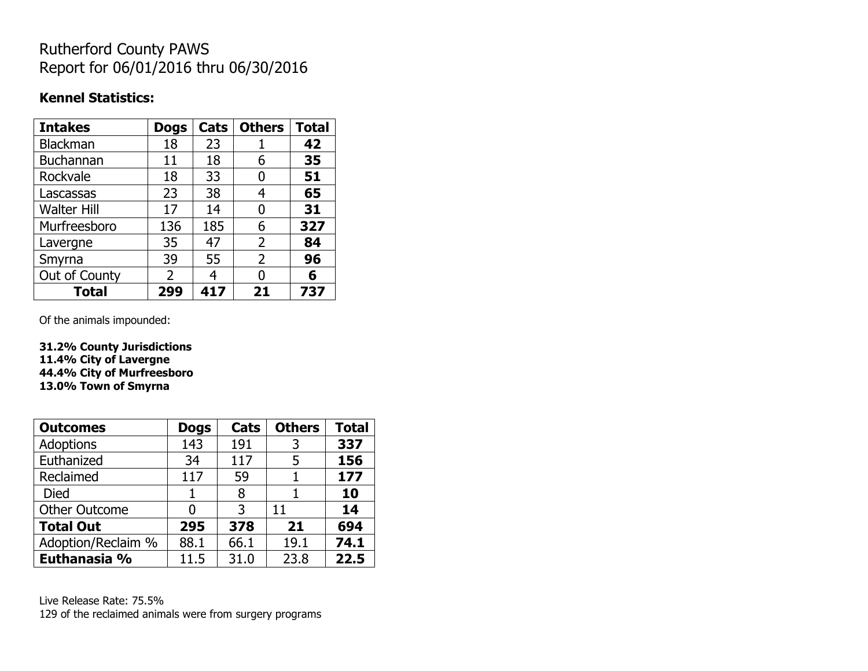## Rutherford County PAWS Report for 06/01/2016 thru 06/30/2016

### **Kennel Statistics:**

| <b>Intakes</b>     | <b>Dogs</b>    | Cats | <b>Others</b> | <b>Total</b> |
|--------------------|----------------|------|---------------|--------------|
| <b>Blackman</b>    | 18             | 23   |               | 42           |
| <b>Buchannan</b>   | 11             | 18   | 6             | 35           |
| Rockvale           | 18             | 33   | 0             | 51           |
| Lascassas          | 23             | 38   | 4             | 65           |
| <b>Walter Hill</b> | 17             | 14   | 0             | 31           |
| Murfreesboro       | 136            | 185  | 6             | 327          |
| Lavergne           | 35             | 47   | 2             | 84           |
| Smyrna             | 39             | 55   | 2             | 96           |
| Out of County      | $\overline{2}$ | 4    | 0             | 6            |
| <b>Total</b>       | 299            | 417  | 21            | 737          |

Of the animals impounded:

**31.2% County Jurisdictions 11.4% City of Lavergne 44.4% City of Murfreesboro 13.0% Town of Smyrna**

| <b>Outcomes</b>      | <b>Dogs</b> | Cats | <b>Others</b> | <b>Total</b> |
|----------------------|-------------|------|---------------|--------------|
| <b>Adoptions</b>     | 143         | 191  | 3             | 337          |
| Euthanized           | 34          | 117  | 5             | 156          |
| Reclaimed            | 117         | 59   |               | 177          |
| Died                 |             | 8    |               | 10           |
| <b>Other Outcome</b> | 0           | 3    | 11            | 14           |
| <b>Total Out</b>     | 295         | 378  | 21            | 694          |
| Adoption/Reclaim %   | 88.1        | 66.1 | 19.1          | 74.1         |
| Euthanasia %         | 11.5        | 31.0 | 23.8          | 22.5         |

Live Release Rate: 75.5% 129 of the reclaimed animals were from surgery programs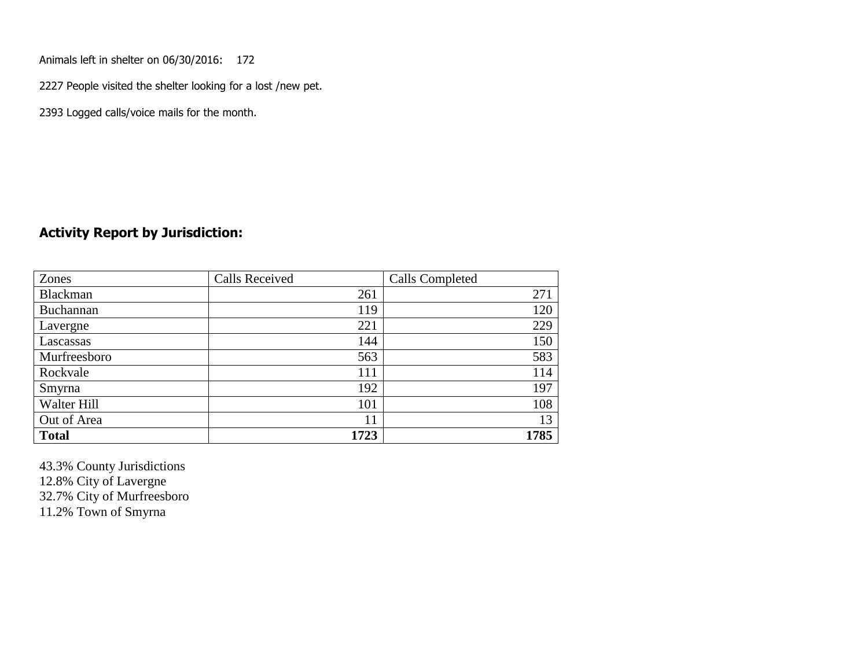Animals left in shelter on 06/30/2016: 172

2227 People visited the shelter looking for a lost /new pet.

2393 Logged calls/voice mails for the month.

#### **Activity Report by Jurisdiction:**

| Zones        | <b>Calls Received</b> | Calls Completed |
|--------------|-----------------------|-----------------|
| Blackman     | 261                   | 271             |
| Buchannan    | 119                   | 120             |
| Lavergne     | 221                   | 229             |
| Lascassas    | 144                   | 150             |
| Murfreesboro | 563                   | 583             |
| Rockvale     | 111                   | 114             |
| Smyrna       | 192                   | 197             |
| Walter Hill  | 101                   | 108             |
| Out of Area  | 11                    | 13              |
| <b>Total</b> | 1723                  | 1785            |

43.3% County Jurisdictions 12.8% City of Lavergne 32.7% City of Murfreesboro

11.2% Town of Smyrna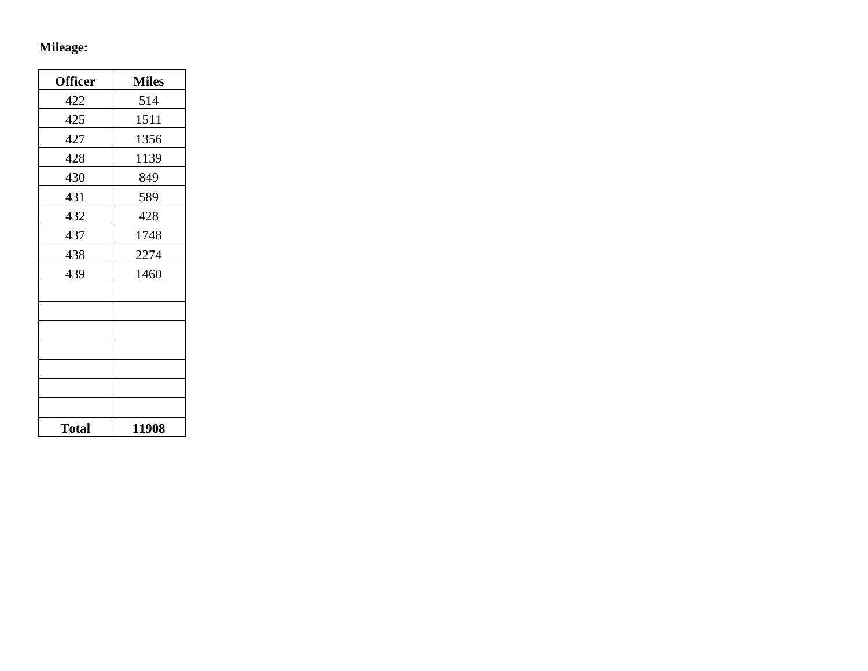# **Mileage:**

| <b>Officer</b> | <b>Miles</b> |
|----------------|--------------|
| 422            | 514          |
| 425            | 1511         |
| 427            | 1356         |
| 428            | 1139         |
| 430            | 849          |
| 431            | 589          |
| 432            | 428          |
| 437            | 1748         |
| 438            | 2274         |
| 439            | 1460         |
|                |              |
|                |              |
|                |              |
|                |              |
|                |              |
|                |              |
|                |              |
| <b>Total</b>   | 11908        |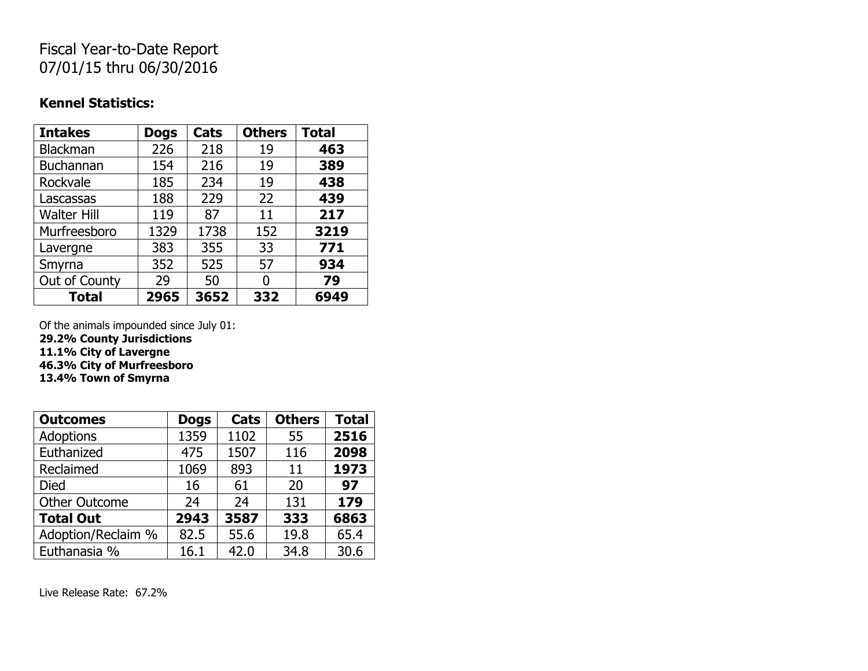## Fiscal Year-to-Date Report 07/01/15 thru 06/30/2016

### **Kennel Statistics:**

| <b>Intakes</b>     | <b>Dogs</b> | Cats | <b>Others</b> | <b>Total</b> |
|--------------------|-------------|------|---------------|--------------|
| <b>Blackman</b>    | 226         | 218  | 19            | 463          |
| <b>Buchannan</b>   | 154         | 216  | 19            | 389          |
| Rockvale           | 185         | 234  | 19            | 438          |
| Lascassas          | 188         | 229  | 22            | 439          |
| <b>Walter Hill</b> | 119         | 87   | 11            | 217          |
| Murfreesboro       | 1329        | 1738 | 152           | 3219         |
| Lavergne           | 383         | 355  | 33            | 771          |
| Smyrna             | 352         | 525  | 57            | 934          |
| Out of County      | 29          | 50   | O             | 79           |
| <b>Total</b>       | 2965        | 3652 | 332           | 6949         |

Of the animals impounded since July 01:

**29.2% County Jurisdictions**

**11.1% City of Lavergne**

**46.3% City of Murfreesboro**

**13.4% Town of Smyrna**

| <b>Outcomes</b>      | <b>Dogs</b> | Cats | <b>Others</b> | <b>Total</b> |
|----------------------|-------------|------|---------------|--------------|
| Adoptions            | 1359        | 1102 | 55            | 2516         |
| Euthanized           | 475         | 1507 | 116           | 2098         |
| Reclaimed            | 1069        | 893  | 11            | 1973         |
| <b>Died</b>          | 16          | 61   | 20            | 97           |
| <b>Other Outcome</b> | 24          | 24   | 131           | 179          |
| <b>Total Out</b>     | 2943        | 3587 | 333           | 6863         |
| Adoption/Reclaim %   | 82.5        | 55.6 | 19.8          | 65.4         |
| Euthanasia %         | 16.1        | 42.0 | 34.8          | 30.6         |

Live Release Rate: 67.2%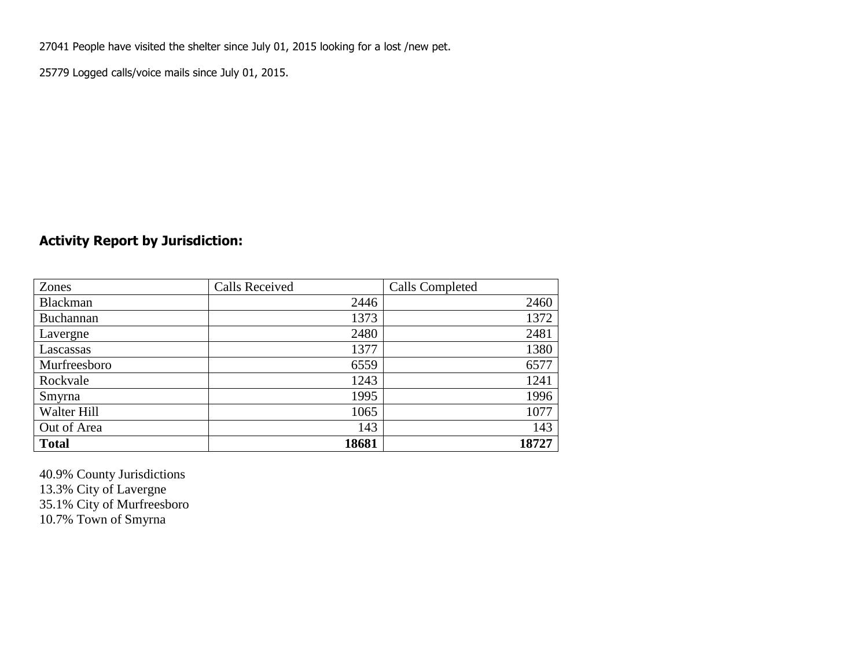27041 People have visited the shelter since July 01, 2015 looking for a lost /new pet.

25779 Logged calls/voice mails since July 01, 2015.

### **Activity Report by Jurisdiction:**

| Zones           | <b>Calls Received</b> | Calls Completed |
|-----------------|-----------------------|-----------------|
| <b>Blackman</b> | 2446                  | 2460            |
| Buchannan       | 1373                  | 1372            |
| Lavergne        | 2480                  | 2481            |
| Lascassas       | 1377                  | 1380            |
| Murfreesboro    | 6559                  | 6577            |
| Rockvale        | 1243                  | 1241            |
| Smyrna          | 1995                  | 1996            |
| Walter Hill     | 1065                  | 1077            |
| Out of Area     | 143                   | 143             |
| <b>Total</b>    | 18681                 | 18727           |

40.9% County Jurisdictions 13.3% City of Lavergne 35.1% City of Murfreesboro 10.7% Town of Smyrna